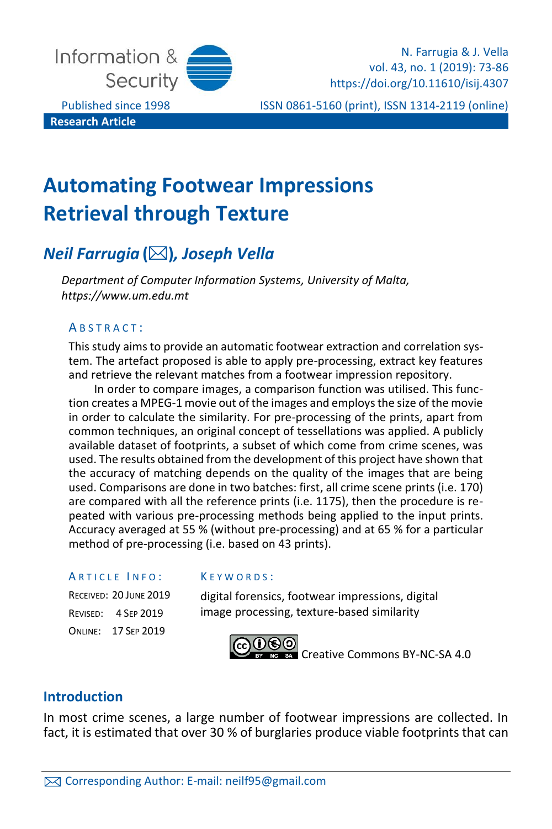

**Research Article**

N. Farrugia & J. Vella vol. 43, no. 1 (2019): 73-86 https://doi.org/10.11610/isij.4307

Published since 1998 **ISSN 0861-5160 (print), ISSN 1314-2119 (online)** 

# **Automating Footwear Impressions Retrieval through Texture**

## *Neil Farrugia* **()***, Joseph Vella*

*Department of Computer Information Systems, University of Malta, https://www.um.edu.mt*

### A B S T R A C T :

This study aims to provide an automatic footwear extraction and correlation system. The artefact proposed is able to apply pre-processing, extract key features and retrieve the relevant matches from a footwear impression repository.

In order to compare images, a comparison function was utilised. This function creates a MPEG-1 movie out of the images and employs the size of the movie in order to calculate the similarity. For pre-processing of the prints, apart from common techniques, an original concept of tessellations was applied. A publicly available dataset of footprints, a subset of which come from crime scenes, was used. The results obtained from the development of this project have shown that the accuracy of matching depends on the quality of the images that are being used. Comparisons are done in two batches: first, all crime scene prints (i.e. 170) are compared with all the reference prints (i.e. 1175), then the procedure is repeated with various pre-processing methods being applied to the input prints. Accuracy averaged at 55 % (without pre-processing) and at 65 % for a particular method of pre-processing (i.e. based on 43 prints).

#### ARTICLE INFO:

RECEIVED: 20 JUNE 2019 REVISED: 4 SEP 2019 ONLINE: 17 SEP 2019

#### K E Y W O R D S :

digital forensics, footwear impressions, digital image processing, texture-based similarity



## **Introduction**

In most crime scenes, a large number of footwear impressions are collected. In fact, it is estimated that over 30 % of burglaries produce viable footprints that can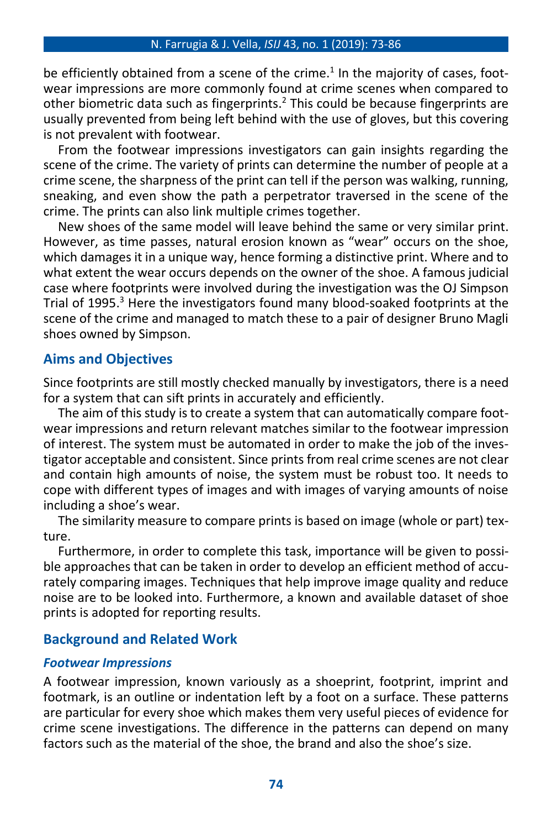be efficiently obtained from a scene of the crime. 1 In the majority of cases, footwear impressions are more commonly found at crime scenes when compared to other biometric data such as fingerprints. <sup>2</sup> This could be because fingerprints are usually prevented from being left behind with the use of gloves, but this covering is not prevalent with footwear.

From the footwear impressions investigators can gain insights regarding the scene of the crime. The variety of prints can determine the number of people at a crime scene, the sharpness of the print can tell if the person was walking, running, sneaking, and even show the path a perpetrator traversed in the scene of the crime. The prints can also link multiple crimes together.

New shoes of the same model will leave behind the same or very similar print. However, as time passes, natural erosion known as "wear" occurs on the shoe, which damages it in a unique way, hence forming a distinctive print. Where and to what extent the wear occurs depends on the owner of the shoe. A famous judicial case where footprints were involved during the investigation was the OJ Simpson Trial of 1995. <sup>3</sup> Here the investigators found many blood-soaked footprints at the scene of the crime and managed to match these to a pair of designer Bruno Magli shoes owned by Simpson.

## **Aims and Objectives**

Since footprints are still mostly checked manually by investigators, there is a need for a system that can sift prints in accurately and efficiently.

The aim of this study is to create a system that can automatically compare footwear impressions and return relevant matches similar to the footwear impression of interest. The system must be automated in order to make the job of the investigator acceptable and consistent. Since prints from real crime scenes are not clear and contain high amounts of noise, the system must be robust too. It needs to cope with different types of images and with images of varying amounts of noise including a shoe's wear.

The similarity measure to compare prints is based on image (whole or part) texture.

Furthermore, in order to complete this task, importance will be given to possible approaches that can be taken in order to develop an efficient method of accurately comparing images. Techniques that help improve image quality and reduce noise are to be looked into. Furthermore, a known and available dataset of shoe prints is adopted for reporting results.

## **Background and Related Work**

#### *Footwear Impressions*

A footwear impression, known variously as a shoeprint, footprint, imprint and footmark, is an outline or indentation left by a foot on a surface. These patterns are particular for every shoe which makes them very useful pieces of evidence for crime scene investigations. The difference in the patterns can depend on many factors such as the material of the shoe, the brand and also the shoe's size.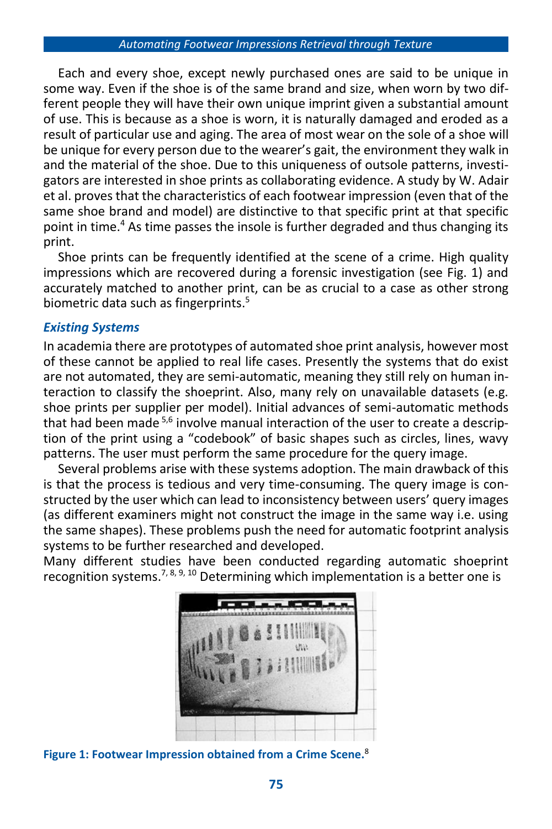Each and every shoe, except newly purchased ones are said to be unique in some way. Even if the shoe is of the same brand and size, when worn by two different people they will have their own unique imprint given a substantial amount of use. This is because as a shoe is worn, it is naturally damaged and eroded as a result of particular use and aging. The area of most wear on the sole of a shoe will be unique for every person due to the wearer's gait, the environment they walk in and the material of the shoe. Due to this uniqueness of outsole patterns, investigators are interested in shoe prints as collaborating evidence. A study by W. Adair et al. proves that the characteristics of each footwear impression (even that of the same shoe brand and model) are distinctive to that specific print at that specific point in time.<sup>4</sup> As time passes the insole is further degraded and thus changing its print.

Shoe prints can be frequently identified at the scene of a crime. High quality impressions which are recovered during a forensic investigation (see Fig. 1) and accurately matched to another print, can be as crucial to a case as other strong biometric data such as fingerprints. 5

## *Existing Systems*

In academia there are prototypes of automated shoe print analysis, however most of these cannot be applied to real life cases. Presently the systems that do exist are not automated, they are semi-automatic, meaning they still rely on human interaction to classify the shoeprint. Also, many rely on unavailable datasets (e.g. shoe prints per supplier per model). Initial advances of semi-automatic methods that had been made <sup>5,6</sup> involve manual interaction of the user to create a description of the print using a "codebook" of basic shapes such as circles, lines, wavy patterns. The user must perform the same procedure for the query image.

Several problems arise with these systems adoption. The main drawback of this is that the process is tedious and very time-consuming. The query image is constructed by the user which can lead to inconsistency between users' query images (as different examiners might not construct the image in the same way i.e. using the same shapes). These problems push the need for automatic footprint analysis systems to be further researched and developed.

Many different studies have been conducted regarding automatic shoeprint recognition systems.<sup>7, 8, 9, 10</sup> Determining which implementation is a better one is



**Figure 1: Footwear Impression obtained from a Crime Scene.** 8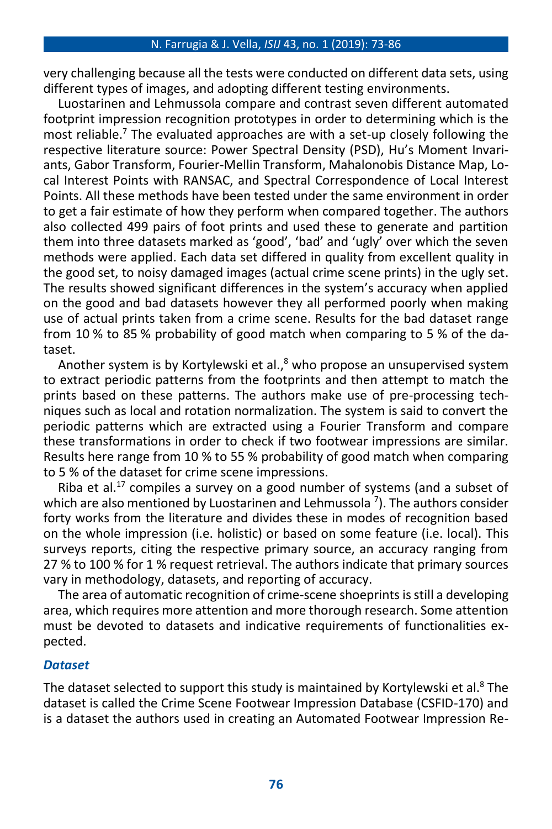very challenging because all the tests were conducted on different data sets, using different types of images, and adopting different testing environments.

Luostarinen and Lehmussola compare and contrast seven different automated footprint impression recognition prototypes in order to determining which is the most reliable.<sup>7</sup> The evaluated approaches are with a set-up closely following the respective literature source: Power Spectral Density (PSD), Hu's Moment Invariants, Gabor Transform, Fourier-Mellin Transform, Mahalonobis Distance Map, Local Interest Points with RANSAC, and Spectral Correspondence of Local Interest Points. All these methods have been tested under the same environment in order to get a fair estimate of how they perform when compared together. The authors also collected 499 pairs of foot prints and used these to generate and partition them into three datasets marked as 'good', 'bad' and 'ugly' over which the seven methods were applied. Each data set differed in quality from excellent quality in the good set, to noisy damaged images (actual crime scene prints) in the ugly set. The results showed significant differences in the system's accuracy when applied on the good and bad datasets however they all performed poorly when making use of actual prints taken from a crime scene. Results for the bad dataset range from 10 % to 85 % probability of good match when comparing to 5 % of the dataset.

Another system is by Kortylewski et al.,<sup>8</sup> who propose an unsupervised system to extract periodic patterns from the footprints and then attempt to match the prints based on these patterns. The authors make use of pre-processing techniques such as local and rotation normalization. The system is said to convert the periodic patterns which are extracted using a Fourier Transform and compare these transformations in order to check if two footwear impressions are similar. Results here range from 10 % to 55 % probability of good match when comparing to 5 % of the dataset for crime scene impressions.

Riba et al.<sup>17</sup> compiles a survey on a good number of systems (and a subset of which are also mentioned by Luostarinen and Lehmussola  $^7$ ). The authors consider forty works from the literature and divides these in modes of recognition based on the whole impression (i.e. holistic) or based on some feature (i.e. local). This surveys reports, citing the respective primary source, an accuracy ranging from 27 % to 100 % for 1 % request retrieval. The authors indicate that primary sources vary in methodology, datasets, and reporting of accuracy.

The area of automatic recognition of crime-scene shoeprints is still a developing area, which requires more attention and more thorough research. Some attention must be devoted to datasets and indicative requirements of functionalities expected.

### *Dataset*

The dataset selected to support this study is maintained by Kortylewski et al.<sup>8</sup> The dataset is called the Crime Scene Footwear Impression Database (CSFID-170) and is a dataset the authors used in creating an Automated Footwear Impression Re-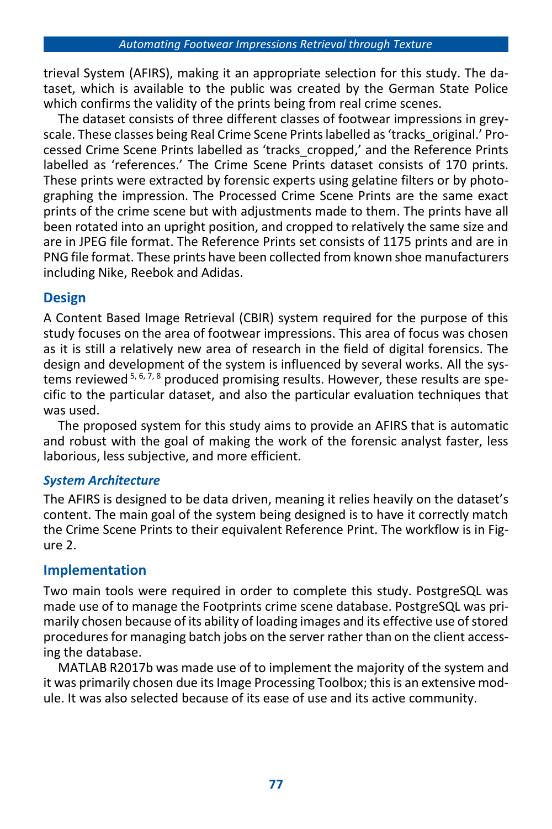trieval System (AFIRS), making it an appropriate selection for this study. The dataset, which is available to the public was created by the German State Police which confirms the validity of the prints being from real crime scenes.

The dataset consists of three different classes of footwear impressions in greyscale. These classes being Real Crime Scene Prints labelled as 'tracks\_original.' Processed Crime Scene Prints labelled as 'tracks\_cropped,' and the Reference Prints labelled as 'references.' The Crime Scene Prints dataset consists of 170 prints. These prints were extracted by forensic experts using gelatine filters or by photographing the impression. The Processed Crime Scene Prints are the same exact prints of the crime scene but with adjustments made to them. The prints have all been rotated into an upright position, and cropped to relatively the same size and are in JPEG file format. The Reference Prints set consists of 1175 prints and are in PNG file format. These prints have been collected from known shoe manufacturers including Nike, Reebok and Adidas.

## **Design**

A Content Based Image Retrieval (CBIR) system required for the purpose of this study focuses on the area of footwear impressions. This area of focus was chosen as it is still a relatively new area of research in the field of digital forensics. The design and development of the system is influenced by several works. All the systems reviewed  $5, 6, 7, 8$  produced promising results. However, these results are specific to the particular dataset, and also the particular evaluation techniques that was used.

The proposed system for this study aims to provide an AFIRS that is automatic and robust with the goal of making the work of the forensic analyst faster, less laborious, less subjective, and more efficient.

## *System Architecture*

The AFIRS is designed to be data driven, meaning it relies heavily on the dataset's content. The main goal of the system being designed is to have it correctly match the Crime Scene Prints to their equivalent Reference Print. The workflow is in Figure 2.

## **Implementation**

Two main tools were required in order to complete this study. PostgreSQL was made use of to manage the Footprints crime scene database. PostgreSQL was primarily chosen because of its ability of loading images and its effective use of stored procedures for managing batch jobs on the server rather than on the client accessing the database.

MATLAB R2017b was made use of to implement the majority of the system and it was primarily chosen due its Image Processing Toolbox; this is an extensive module. It was also selected because of its ease of use and its active community.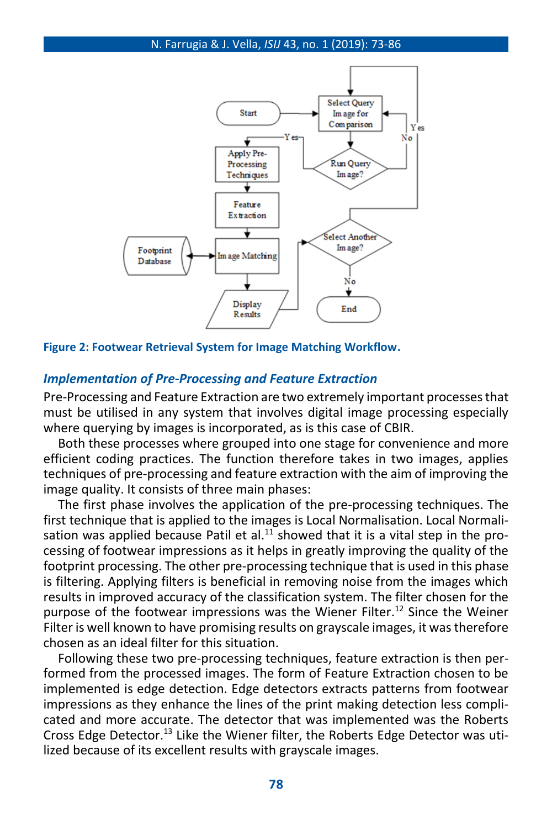

**Figure 2: Footwear Retrieval System for Image Matching Workflow.**

#### *Implementation of Pre-Processing and Feature Extraction*

Pre-Processing and Feature Extraction are two extremely important processes that must be utilised in any system that involves digital image processing especially where querving by images is incorporated, as is this case of CBIR.

Both these processes where grouped into one stage for convenience and more efficient coding practices. The function therefore takes in two images, applies techniques of pre-processing and feature extraction with the aim of improving the image quality. It consists of three main phases:

The first phase involves the application of the pre-processing techniques. The first technique that is applied to the images is Local Normalisation. Local Normalisation was applied because Patil et al.<sup>11</sup> showed that it is a vital step in the processing of footwear impressions as it helps in greatly improving the quality of the footprint processing. The other pre-processing technique that is used in this phase is filtering. Applying filters is beneficial in removing noise from the images which results in improved accuracy of the classification system. The filter chosen for the purpose of the footwear impressions was the Wiener Filter. <sup>12</sup> Since the Weiner Filter is well known to have promising results on grayscale images, it was therefore chosen as an ideal filter for this situation.

Following these two pre-processing techniques, feature extraction is then performed from the processed images. The form of Feature Extraction chosen to be implemented is edge detection. Edge detectors extracts patterns from footwear impressions as they enhance the lines of the print making detection less complicated and more accurate. The detector that was implemented was the Roberts Cross Edge Detector.<sup>13</sup> Like the Wiener filter, the Roberts Edge Detector was utilized because of its excellent results with grayscale images.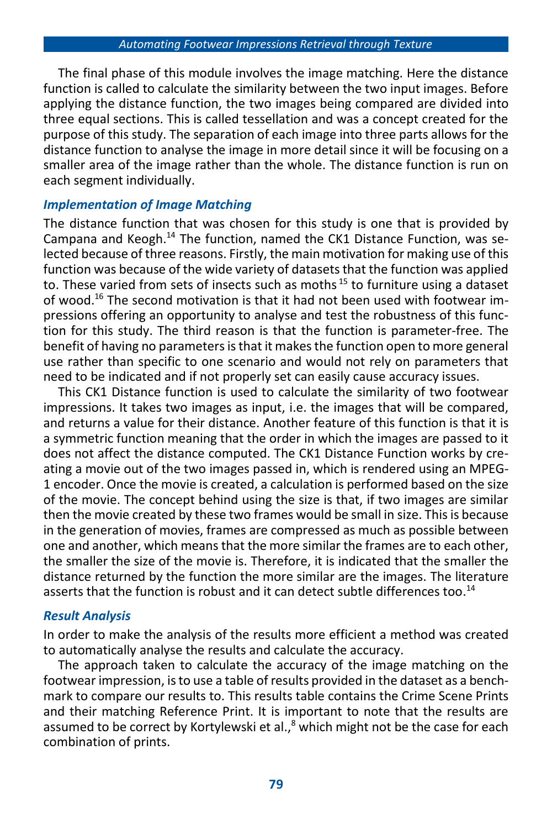The final phase of this module involves the image matching. Here the distance function is called to calculate the similarity between the two input images. Before applying the distance function, the two images being compared are divided into three equal sections. This is called tessellation and was a concept created for the purpose of this study. The separation of each image into three parts allows for the distance function to analyse the image in more detail since it will be focusing on a smaller area of the image rather than the whole. The distance function is run on each segment individually.

## *Implementation of Image Matching*

The distance function that was chosen for this study is one that is provided by Campana and Keogh.<sup>14</sup> The function, named the CK1 Distance Function, was selected because of three reasons. Firstly, the main motivation for making use of this function was because of the wide variety of datasets that the function was applied to. These varied from sets of insects such as moths<sup>15</sup> to furniture using a dataset of wood. <sup>16</sup> The second motivation is that it had not been used with footwear impressions offering an opportunity to analyse and test the robustness of this function for this study. The third reason is that the function is parameter-free. The benefit of having no parameters is that it makes the function open to more general use rather than specific to one scenario and would not rely on parameters that need to be indicated and if not properly set can easily cause accuracy issues.

This CK1 Distance function is used to calculate the similarity of two footwear impressions. It takes two images as input, i.e. the images that will be compared, and returns a value for their distance. Another feature of this function is that it is a symmetric function meaning that the order in which the images are passed to it does not affect the distance computed. The CK1 Distance Function works by creating a movie out of the two images passed in, which is rendered using an MPEG-1 encoder. Once the movie is created, a calculation is performed based on the size of the movie. The concept behind using the size is that, if two images are similar then the movie created by these two frames would be small in size. This is because in the generation of movies, frames are compressed as much as possible between one and another, which means that the more similar the frames are to each other, the smaller the size of the movie is. Therefore, it is indicated that the smaller the distance returned by the function the more similar are the images. The literature asserts that the function is robust and it can detect subtle differences too.<sup>14</sup>

## *Result Analysis*

In order to make the analysis of the results more efficient a method was created to automatically analyse the results and calculate the accuracy.

The approach taken to calculate the accuracy of the image matching on the footwear impression, is to use a table of results provided in the dataset as a benchmark to compare our results to. This results table contains the Crime Scene Prints and their matching Reference Print. It is important to note that the results are assumed to be correct by Kortylewski et al.,<sup>8</sup> which might not be the case for each combination of prints.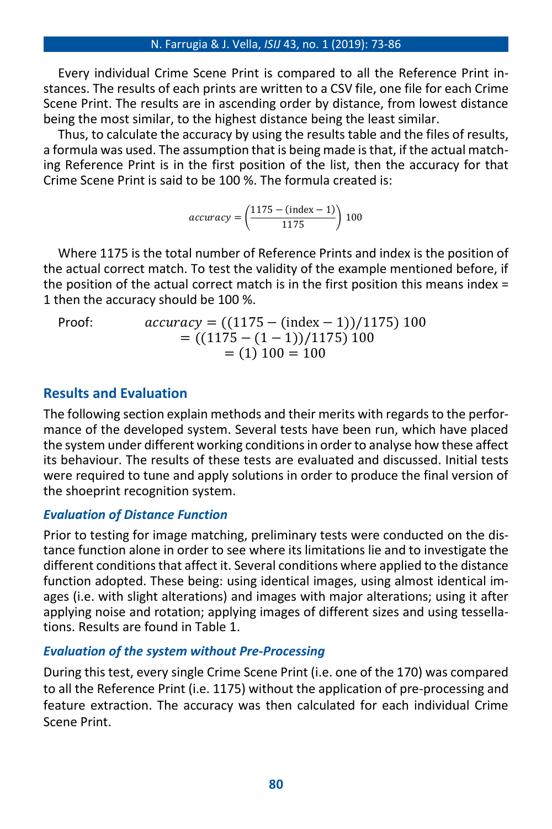Every individual Crime Scene Print is compared to all the Reference Print instances. The results of each prints are written to a CSV file, one file for each Crime Scene Print. The results are in ascending order by distance, from lowest distance being the most similar, to the highest distance being the least similar.

Thus, to calculate the accuracy by using the results table and the files of results, a formula was used. The assumption that is being made is that, if the actual matching Reference Print is in the first position of the list, then the accuracy for that Crime Scene Print is said to be 100 %. The formula created is:

 $accuracy = \left(\frac{1175 - (index - 1)}{1175}\right) 100$ 

Where 1175 is the total number of Reference Prints and index is the position of the actual correct match. To test the validity of the example mentioned before, if the position of the actual correct match is in the first position this means index  $=$ 1 then the accuracy should be 100 %.

Proof:  $accuracy = ((1175 - (index - 1))/1175)100$  $= ((1175 - (1 - 1))/1175)100$  $= (1) 100 = 100$ 

## **Results and Evaluation**

The following section explain methods and their merits with regards to the performance of the developed system. Several tests have been run, which have placed the system under different working conditions in order to analyse how these affect its behaviour. The results of these tests are evaluated and discussed. Initial tests were required to tune and apply solutions in order to produce the final version of the shoeprint recognition system.

## *Evaluation of Distance Function*

Prior to testing for image matching, preliminary tests were conducted on the distance function alone in order to see where its limitations lie and to investigate the different conditions that affect it. Several conditions where applied to the distance function adopted. These being: using identical images, using almost identical images (i.e. with slight alterations) and images with major alterations; using it after applying noise and rotation; applying images of different sizes and using tessellations. Results are found in Table 1.

## *Evaluation of the system without Pre-Processing*

During this test, every single Crime Scene Print (i.e. one of the 170) was compared to all the Reference Print (i.e. 1175) without the application of pre-processing and feature extraction. The accuracy was then calculated for each individual Crime Scene Print.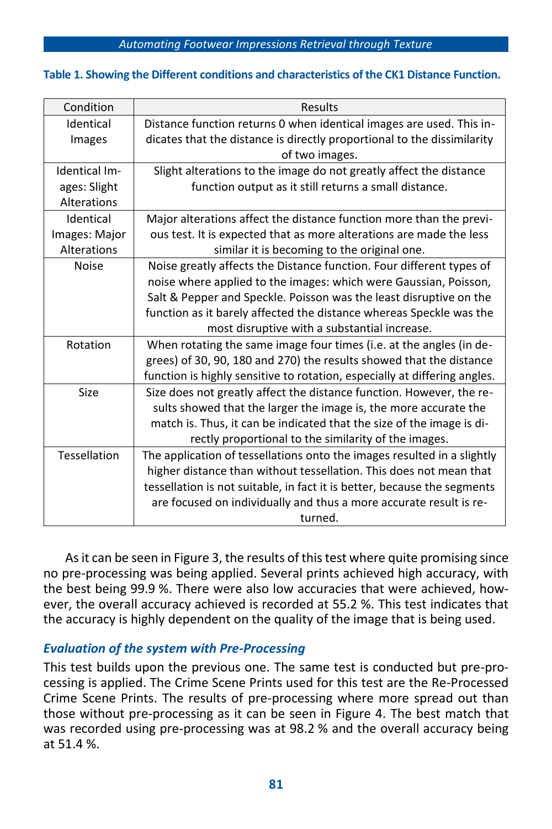#### **Table 1. Showing the Different conditions and characteristics of the CK1 Distance Function.**

| Condition                                                        | Results                                                                   |  |  |
|------------------------------------------------------------------|---------------------------------------------------------------------------|--|--|
| Identical                                                        | Distance function returns 0 when identical images are used. This in-      |  |  |
| Images                                                           | dicates that the distance is directly proportional to the dissimilarity   |  |  |
|                                                                  | of two images.                                                            |  |  |
| Identical Im-                                                    | Slight alterations to the image do not greatly affect the distance        |  |  |
| ages: Slight                                                     | function output as it still returns a small distance.                     |  |  |
| Alterations                                                      |                                                                           |  |  |
| Identical                                                        | Major alterations affect the distance function more than the previ-       |  |  |
| Images: Major                                                    | ous test. It is expected that as more alterations are made the less       |  |  |
| Alterations                                                      | similar it is becoming to the original one.                               |  |  |
| <b>Noise</b>                                                     | Noise greatly affects the Distance function. Four different types of      |  |  |
| noise where applied to the images: which were Gaussian, Poisson, |                                                                           |  |  |
|                                                                  | Salt & Pepper and Speckle. Poisson was the least disruptive on the        |  |  |
|                                                                  | function as it barely affected the distance whereas Speckle was the       |  |  |
|                                                                  | most disruptive with a substantial increase.                              |  |  |
| Rotation                                                         | When rotating the same image four times (i.e. at the angles (in de-       |  |  |
|                                                                  | grees) of 30, 90, 180 and 270) the results showed that the distance       |  |  |
|                                                                  | function is highly sensitive to rotation, especially at differing angles. |  |  |
| Size                                                             | Size does not greatly affect the distance function. However, the re-      |  |  |
|                                                                  | sults showed that the larger the image is, the more accurate the          |  |  |
|                                                                  | match is. Thus, it can be indicated that the size of the image is di-     |  |  |
|                                                                  | rectly proportional to the similarity of the images.                      |  |  |
| Tessellation                                                     | The application of tessellations onto the images resulted in a slightly   |  |  |
|                                                                  | higher distance than without tessellation. This does not mean that        |  |  |
|                                                                  | tessellation is not suitable, in fact it is better, because the segments  |  |  |
|                                                                  | are focused on individually and thus a more accurate result is re-        |  |  |
|                                                                  | turned.                                                                   |  |  |

As it can be seen in Figure 3, the results of this test where quite promising since no pre-processing was being applied. Several prints achieved high accuracy, with the best being 99.9 %. There were also low accuracies that were achieved, however, the overall accuracy achieved is recorded at 55.2 %. This test indicates that the accuracy is highly dependent on the quality of the image that is being used.

### *Evaluation of the system with Pre-Processing*

This test builds upon the previous one. The same test is conducted but pre-processing is applied. The Crime Scene Prints used for this test are the Re-Processed Crime Scene Prints. The results of pre-processing where more spread out than those without pre-processing as it can be seen in Figure 4. The best match that was recorded using pre-processing was at 98.2 % and the overall accuracy being at 51.4 %.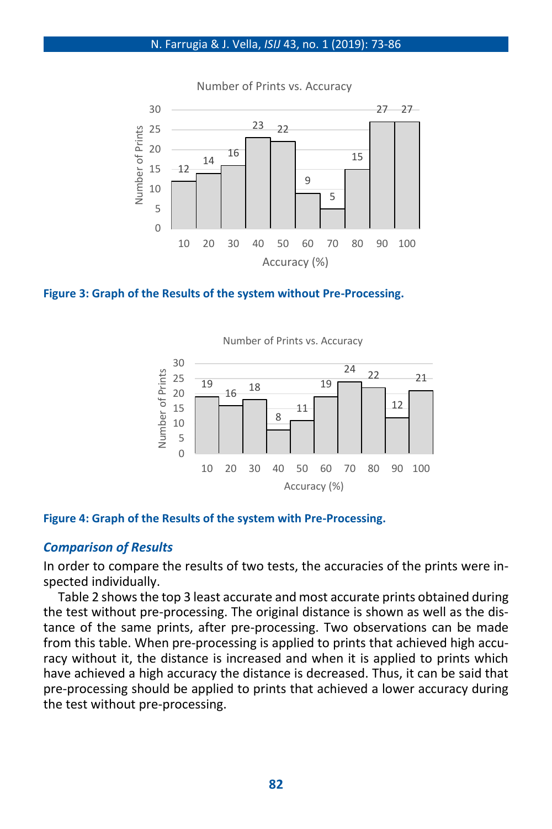

Number of Prints vs. Accuracy



Number of Prints vs. Accuracy



#### **Figure 4: Graph of the Results of the system with Pre-Processing.**

#### *Comparison of Results*

In order to compare the results of two tests, the accuracies of the prints were inspected individually.

Table 2 shows the top 3 least accurate and most accurate prints obtained during the test without pre-processing. The original distance is shown as well as the distance of the same prints, after pre-processing. Two observations can be made from this table. When pre-processing is applied to prints that achieved high accuracy without it, the distance is increased and when it is applied to prints which have achieved a high accuracy the distance is decreased. Thus, it can be said that pre-processing should be applied to prints that achieved a lower accuracy during the test without pre-processing.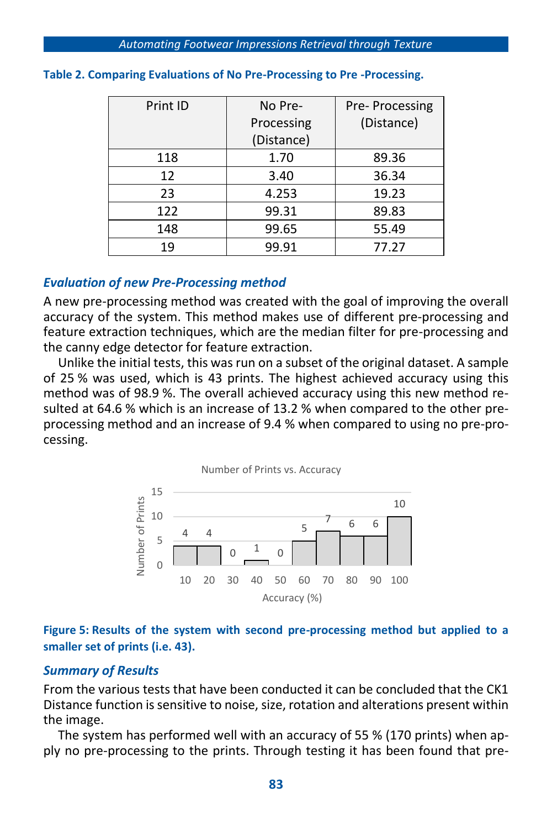| Print ID | No Pre-    | Pre-Processing |
|----------|------------|----------------|
|          | Processing | (Distance)     |
|          | (Distance) |                |
| 118      | 1.70       | 89.36          |
| 12       | 3.40       | 36.34          |
| 23       | 4.253      | 19.23          |
| 122      | 99.31      | 89.83          |
| 148      | 99.65      | 55.49          |
| 19       | 99.91      | 77.27          |

#### **Table 2. Comparing Evaluations of No Pre-Processing to Pre -Processing.**

## *Evaluation of new Pre-Processing method*

A new pre-processing method was created with the goal of improving the overall accuracy of the system. This method makes use of different pre-processing and feature extraction techniques, which are the median filter for pre-processing and the canny edge detector for feature extraction.

Unlike the initial tests, this was run on a subset of the original dataset. A sample of 25 % was used, which is 43 prints. The highest achieved accuracy using this method was of 98.9 %. The overall achieved accuracy using this new method resulted at 64.6 % which is an increase of 13.2 % when compared to the other preprocessing method and an increase of 9.4 % when compared to using no pre-processing.



## **Figure 5: Results of the system with second pre-processing method but applied to a smaller set of prints (i.e. 43).**

## *Summary of Results*

From the various tests that have been conducted it can be concluded that the CK1 Distance function is sensitive to noise, size, rotation and alterations present within the image.

The system has performed well with an accuracy of 55 % (170 prints) when apply no pre-processing to the prints. Through testing it has been found that pre-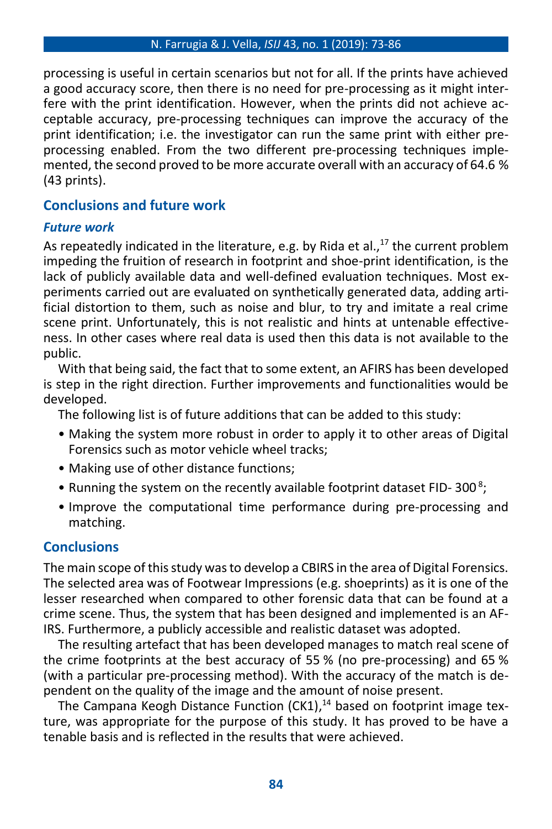processing is useful in certain scenarios but not for all. If the prints have achieved a good accuracy score, then there is no need for pre-processing as it might interfere with the print identification. However, when the prints did not achieve acceptable accuracy, pre-processing techniques can improve the accuracy of the print identification; i.e. the investigator can run the same print with either preprocessing enabled. From the two different pre-processing techniques implemented, the second proved to be more accurate overall with an accuracy of 64.6 % (43 prints).

## **Conclusions and future work**

## *Future work*

As repeatedly indicated in the literature, e.g. by Rida et al., <sup>17</sup> the current problem impeding the fruition of research in footprint and shoe-print identification, is the lack of publicly available data and well-defined evaluation techniques. Most experiments carried out are evaluated on synthetically generated data, adding artificial distortion to them, such as noise and blur, to try and imitate a real crime scene print. Unfortunately, this is not realistic and hints at untenable effectiveness. In other cases where real data is used then this data is not available to the public.

With that being said, the fact that to some extent, an AFIRS has been developed is step in the right direction. Further improvements and functionalities would be developed.

The following list is of future additions that can be added to this study:

- Making the system more robust in order to apply it to other areas of Digital Forensics such as motor vehicle wheel tracks;
- Making use of other distance functions;
- Running the system on the recently available footprint dataset FID-300<sup>8</sup>;
- Improve the computational time performance during pre-processing and matching.

## **Conclusions**

The main scope of this study was to develop a CBIRS in the area of Digital Forensics. The selected area was of Footwear Impressions (e.g. shoeprints) as it is one of the lesser researched when compared to other forensic data that can be found at a crime scene. Thus, the system that has been designed and implemented is an AF-IRS. Furthermore, a publicly accessible and realistic dataset was adopted.

The resulting artefact that has been developed manages to match real scene of the crime footprints at the best accuracy of 55 % (no pre-processing) and 65 % (with a particular pre-processing method). With the accuracy of the match is dependent on the quality of the image and the amount of noise present.

The Campana Keogh Distance Function (CK1),<sup>14</sup> based on footprint image texture, was appropriate for the purpose of this study. It has proved to be have a tenable basis and is reflected in the results that were achieved.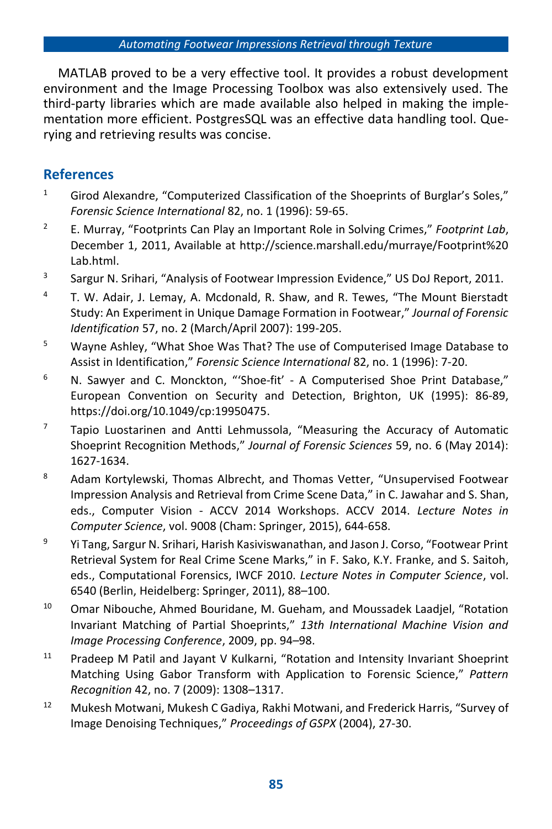MATLAB proved to be a very effective tool. It provides a robust development environment and the Image Processing Toolbox was also extensively used. The third-party libraries which are made available also helped in making the implementation more efficient. PostgresSQL was an effective data handling tool. Querying and retrieving results was concise.

## **References**

- <sup>1</sup> Girod Alexandre, "Computerized Classification of the Shoeprints of Burglar's Soles," *Forensic Science International* 82, no. 1 (1996): 59-65.
- <sup>2</sup> E. Murray, "Footprints Can Play an Important Role in Solving Crimes," *Footprint Lab*, December 1, 2011, Available at http://science.marshall.edu/murraye/Footprint%20 Lab.html.
- 3 Sargur N. Srihari, "Analysis of Footwear Impression Evidence," US DoJ Report, 2011.
- <sup>4</sup> T. W. Adair, J. Lemay, A. Mcdonald, R. Shaw, and R. Tewes, "The Mount Bierstadt Study: An Experiment in Unique Damage Formation in Footwear," *Journal of Forensic Identification* 57, no. 2 (March/April 2007): 199-205.
- <sup>5</sup> Wayne Ashley, "What Shoe Was That? The use of Computerised Image Database to Assist in Identification," *Forensic Science International* 82, no. 1 (1996): 7-20.
- <sup>6</sup> N. Sawyer and C. Monckton, "'Shoe-fit' A Computerised Shoe Print Database," European Convention on Security and Detection, Brighton, UK (1995): 86-89, https://doi.org/10.1049/cp:19950475.
- $7$  Tapio Luostarinen and Antti Lehmussola, "Measuring the Accuracy of Automatic Shoeprint Recognition Methods," *Journal of Forensic Sciences* 59, no. 6 (May 2014): 1627-1634.
- 8 Adam Kortylewski, Thomas Albrecht, and Thomas Vetter, "Unsupervised Footwear Impression Analysis and Retrieval from Crime Scene Data," in C. Jawahar and S. Shan, eds., Computer Vision - ACCV 2014 Workshops. ACCV 2014. *Lecture Notes in Computer Science*, vol. 9008 (Cham: Springer, 2015), 644-658.
- <sup>9</sup> Yi Tang, Sargur N. Srihari, Harish Kasiviswanathan, and Jason J. Corso, "Footwear Print Retrieval System for Real Crime Scene Marks," in F. Sako, K.Y. Franke, and S. Saitoh, eds., Computational Forensics, IWCF 2010. *Lecture Notes in Computer Science*, vol. 6540 (Berlin, Heidelberg: Springer, 2011), 88–100.
- <sup>10</sup> Omar Nibouche, Ahmed Bouridane, M. Gueham, and Moussadek Laadjel, "Rotation Invariant Matching of Partial Shoeprints," *13th International Machine Vision and Image Processing Conference*, 2009, pp. 94–98.
- <sup>11</sup> Pradeep M Patil and Jayant V Kulkarni, "Rotation and Intensity Invariant Shoeprint Matching Using Gabor Transform with Application to Forensic Science," *Pattern Recognition* 42, no. 7 (2009): 1308–1317.
- <sup>12</sup> Mukesh Motwani, Mukesh C Gadiya, Rakhi Motwani, and Frederick Harris, "Survey of Image Denoising Techniques," *Proceedings of GSPX* (2004), 27-30.